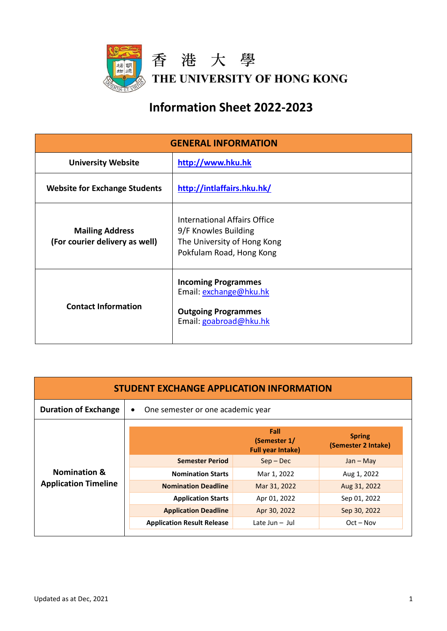

## **Information Sheet 2022-2023**

| <b>GENERAL INFORMATION</b>                               |                                                                                                                 |  |
|----------------------------------------------------------|-----------------------------------------------------------------------------------------------------------------|--|
| <b>University Website</b>                                | http://www.hku.hk                                                                                               |  |
| <b>Website for Exchange Students</b>                     | http://intlaffairs.hku.hk/                                                                                      |  |
| <b>Mailing Address</b><br>(For courier delivery as well) | International Affairs Office<br>9/F Knowles Building<br>The University of Hong Kong<br>Pokfulam Road, Hong Kong |  |
| <b>Contact Information</b>                               | <b>Incoming Programmes</b><br>Email: exchange@hku.hk<br><b>Outgoing Programmes</b><br>Email: goabroad@hku.hk    |  |

| <b>STUDENT EXCHANGE APPLICATION INFORMATION</b>        |                                                |                                                  |                                      |
|--------------------------------------------------------|------------------------------------------------|--------------------------------------------------|--------------------------------------|
| <b>Duration of Exchange</b>                            | One semester or one academic year<br>$\bullet$ |                                                  |                                      |
|                                                        |                                                | Fall<br>(Semester 1/<br><b>Full year Intake)</b> | <b>Spring</b><br>(Semester 2 Intake) |
| <b>Nomination &amp;</b><br><b>Application Timeline</b> | <b>Semester Period</b>                         | $Sep - Dec$                                      | $Jan - May$                          |
|                                                        | <b>Nomination Starts</b>                       | Mar 1, 2022                                      | Aug 1, 2022                          |
|                                                        | <b>Nomination Deadline</b>                     | Mar 31, 2022                                     | Aug 31, 2022                         |
|                                                        | <b>Application Starts</b>                      | Apr 01, 2022                                     | Sep 01, 2022                         |
|                                                        | <b>Application Deadline</b>                    | Apr 30, 2022                                     | Sep 30, 2022                         |
|                                                        | <b>Application Result Release</b>              | Late Jun $-$ Jul                                 | $Oct - Nov$                          |
|                                                        |                                                |                                                  |                                      |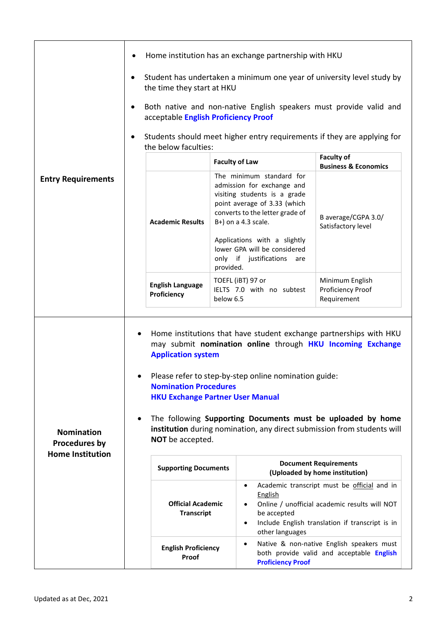|                                                               |                                                                                                                                                                                                                                                                                                                                                                                                                                                                                           | Home institution has an exchange partnership with HKU                                                                                                                            |                                                                                                                                                 |
|---------------------------------------------------------------|-------------------------------------------------------------------------------------------------------------------------------------------------------------------------------------------------------------------------------------------------------------------------------------------------------------------------------------------------------------------------------------------------------------------------------------------------------------------------------------------|----------------------------------------------------------------------------------------------------------------------------------------------------------------------------------|-------------------------------------------------------------------------------------------------------------------------------------------------|
|                                                               | $\bullet$<br>the time they start at HKU                                                                                                                                                                                                                                                                                                                                                                                                                                                   | Student has undertaken a minimum one year of university level study by                                                                                                           |                                                                                                                                                 |
|                                                               | $\bullet$                                                                                                                                                                                                                                                                                                                                                                                                                                                                                 | Both native and non-native English speakers must provide valid and<br>acceptable English Proficiency Proof                                                                       |                                                                                                                                                 |
|                                                               | Students should meet higher entry requirements if they are applying for<br>the below faculties:                                                                                                                                                                                                                                                                                                                                                                                           |                                                                                                                                                                                  |                                                                                                                                                 |
|                                                               |                                                                                                                                                                                                                                                                                                                                                                                                                                                                                           | <b>Faculty of Law</b>                                                                                                                                                            | <b>Faculty of</b><br><b>Business &amp; Economics</b>                                                                                            |
| <b>Entry Requirements</b>                                     | <b>Academic Results</b>                                                                                                                                                                                                                                                                                                                                                                                                                                                                   | The minimum standard for<br>admission for exchange and<br>visiting students is a grade<br>point average of 3.33 (which<br>converts to the letter grade of<br>B+) on a 4.3 scale. | B average/CGPA 3.0/<br>Satisfactory level                                                                                                       |
|                                                               |                                                                                                                                                                                                                                                                                                                                                                                                                                                                                           | Applications with a slightly<br>lower GPA will be considered<br>only if justifications<br>are<br>provided.                                                                       |                                                                                                                                                 |
|                                                               | <b>English Language</b><br>Proficiency                                                                                                                                                                                                                                                                                                                                                                                                                                                    | TOEFL (iBT) 97 or<br>IELTS 7.0 with no subtest<br>below 6.5                                                                                                                      | Minimum English<br>Proficiency Proof<br>Requirement                                                                                             |
| <b>Nomination</b><br>Procedures by<br><b>Home Institution</b> | Home institutions that have student exchange partnerships with HKU<br>$\bullet$<br>may submit nomination online through HKU Incoming Exchange<br><b>Application system</b><br>Please refer to step-by-step online nomination guide:<br><b>Nomination Procedures</b><br><b>HKU Exchange Partner User Manual</b><br>The following Supporting Documents must be uploaded by home<br>$\bullet$<br>institution during nomination, any direct submission from students will<br>NOT be accepted. |                                                                                                                                                                                  |                                                                                                                                                 |
|                                                               | <b>Supporting Documents</b>                                                                                                                                                                                                                                                                                                                                                                                                                                                               |                                                                                                                                                                                  | <b>Document Requirements</b><br>(Uploaded by home institution)                                                                                  |
|                                                               | <b>Official Academic</b><br><b>Transcript</b>                                                                                                                                                                                                                                                                                                                                                                                                                                             | $\bullet$<br><b>English</b><br>$\bullet$<br>be accepted<br>$\bullet$<br>other languages                                                                                          | Academic transcript must be official and in<br>Online / unofficial academic results will NOT<br>Include English translation if transcript is in |
|                                                               | <b>English Proficiency</b><br>Proof                                                                                                                                                                                                                                                                                                                                                                                                                                                       | $\bullet$<br><b>Proficiency Proof</b>                                                                                                                                            | Native & non-native English speakers must<br>both provide valid and acceptable English                                                          |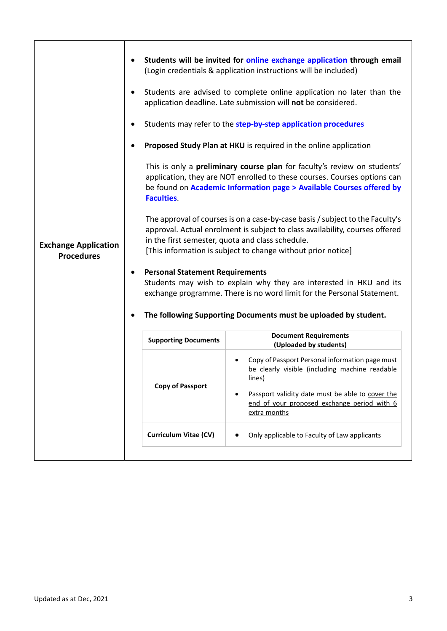|                                                  |                                                             | Students will be invited for online exchange application through email<br>(Login credentials & application instructions will be included)<br>Students are advised to complete online application no later than the<br>application deadline. Late submission will not be considered.<br>Students may refer to the step-by-step application procedures<br>Proposed Study Plan at HKU is required in the online application<br>This is only a <b>preliminary course plan</b> for faculty's review on students'                                                                                                                                               |
|--------------------------------------------------|-------------------------------------------------------------|-----------------------------------------------------------------------------------------------------------------------------------------------------------------------------------------------------------------------------------------------------------------------------------------------------------------------------------------------------------------------------------------------------------------------------------------------------------------------------------------------------------------------------------------------------------------------------------------------------------------------------------------------------------|
| <b>Exchange Application</b><br><b>Procedures</b> | <b>Faculties.</b><br><b>Personal Statement Requirements</b> | application, they are NOT enrolled to these courses. Courses options can<br>be found on Academic Information page > Available Courses offered by<br>The approval of courses is on a case-by-case basis / subject to the Faculty's<br>approval. Actual enrolment is subject to class availability, courses offered<br>in the first semester, quota and class schedule.<br>[This information is subject to change without prior notice]<br>Students may wish to explain why they are interested in HKU and its<br>exchange programme. There is no word limit for the Personal Statement.<br>The following Supporting Documents must be uploaded by student. |
|                                                  | <b>Supporting Documents</b>                                 | <b>Document Requirements</b><br>(Uploaded by students)                                                                                                                                                                                                                                                                                                                                                                                                                                                                                                                                                                                                    |
|                                                  | <b>Copy of Passport</b>                                     | Copy of Passport Personal information page must<br>be clearly visible (including machine readable<br>lines)<br>Passport validity date must be able to cover the<br>$\bullet$<br>end of your proposed exchange period with 6<br>extra months                                                                                                                                                                                                                                                                                                                                                                                                               |
|                                                  | <b>Curriculum Vitae (CV)</b>                                | Only applicable to Faculty of Law applicants<br>$\bullet$                                                                                                                                                                                                                                                                                                                                                                                                                                                                                                                                                                                                 |
|                                                  |                                                             |                                                                                                                                                                                                                                                                                                                                                                                                                                                                                                                                                                                                                                                           |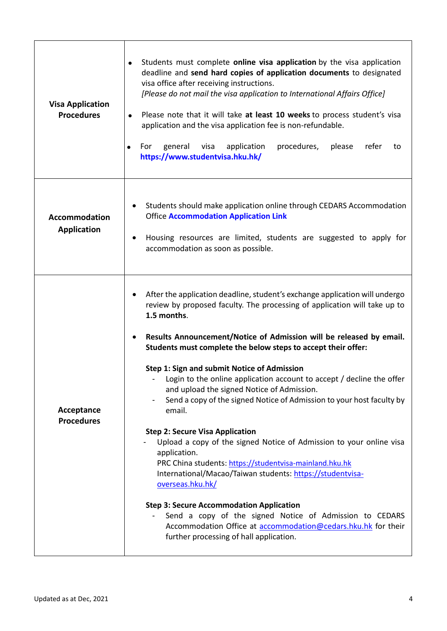| <b>Visa Application</b><br><b>Procedures</b> | Students must complete online visa application by the visa application<br>$\bullet$<br>deadline and send hard copies of application documents to designated<br>visa office after receiving instructions.<br>[Please do not mail the visa application to International Affairs Office]<br>Please note that it will take at least 10 weeks to process student's visa<br>$\bullet$<br>application and the visa application fee is non-refundable.<br>For<br>general<br>visa<br>application<br>procedures,<br>please<br>refer<br>to<br>https://www.studentvisa.hku.hk/                                                                                                                                                                                                                                                                                                                                                                                                                                                                                                              |
|----------------------------------------------|---------------------------------------------------------------------------------------------------------------------------------------------------------------------------------------------------------------------------------------------------------------------------------------------------------------------------------------------------------------------------------------------------------------------------------------------------------------------------------------------------------------------------------------------------------------------------------------------------------------------------------------------------------------------------------------------------------------------------------------------------------------------------------------------------------------------------------------------------------------------------------------------------------------------------------------------------------------------------------------------------------------------------------------------------------------------------------|
| <b>Accommodation</b><br><b>Application</b>   | Students should make application online through CEDARS Accommodation<br><b>Office Accommodation Application Link</b><br>Housing resources are limited, students are suggested to apply for<br>accommodation as soon as possible.                                                                                                                                                                                                                                                                                                                                                                                                                                                                                                                                                                                                                                                                                                                                                                                                                                                |
| Acceptance<br><b>Procedures</b>              | After the application deadline, student's exchange application will undergo<br>review by proposed faculty. The processing of application will take up to<br>1.5 months.<br>Results Announcement/Notice of Admission will be released by email.<br>Students must complete the below steps to accept their offer:<br>Step 1: Sign and submit Notice of Admission<br>Login to the online application account to accept / decline the offer<br>and upload the signed Notice of Admission.<br>Send a copy of the signed Notice of Admission to your host faculty by<br>email.<br><b>Step 2: Secure Visa Application</b><br>Upload a copy of the signed Notice of Admission to your online visa<br>application.<br>PRC China students: https://studentvisa-mainland.hku.hk<br>International/Macao/Taiwan students: https://studentvisa-<br>overseas.hku.hk/<br><b>Step 3: Secure Accommodation Application</b><br>Send a copy of the signed Notice of Admission to CEDARS<br>Accommodation Office at accommodation@cedars.hku.hk for their<br>further processing of hall application. |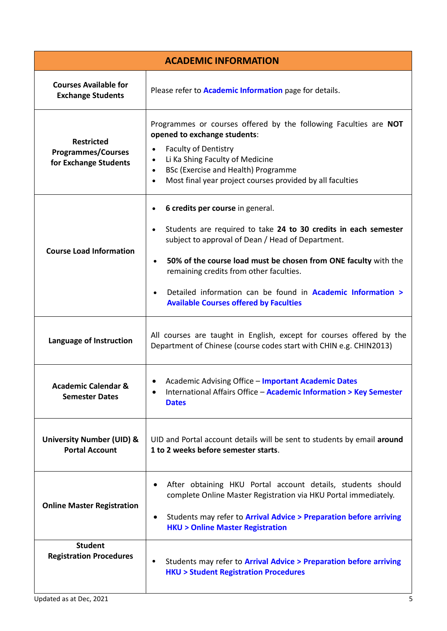| <b>ACADEMIC INFORMATION</b>                                             |                                                                                                                                                                                                                                                                                                                                                                                                               |  |
|-------------------------------------------------------------------------|---------------------------------------------------------------------------------------------------------------------------------------------------------------------------------------------------------------------------------------------------------------------------------------------------------------------------------------------------------------------------------------------------------------|--|
| <b>Courses Available for</b><br><b>Exchange Students</b>                | Please refer to <b>Academic Information</b> page for details.                                                                                                                                                                                                                                                                                                                                                 |  |
| <b>Restricted</b><br><b>Programmes/Courses</b><br>for Exchange Students | Programmes or courses offered by the following Faculties are NOT<br>opened to exchange students:<br><b>Faculty of Dentistry</b><br>Li Ka Shing Faculty of Medicine<br>BSc (Exercise and Health) Programme<br>Most final year project courses provided by all faculties                                                                                                                                        |  |
| <b>Course Load Information</b>                                          | 6 credits per course in general.<br>Students are required to take 24 to 30 credits in each semester<br>subject to approval of Dean / Head of Department.<br>50% of the course load must be chosen from ONE faculty with the<br>$\bullet$<br>remaining credits from other faculties.<br>Detailed information can be found in <b>Academic Information &gt;</b><br><b>Available Courses offered by Faculties</b> |  |
| Language of Instruction                                                 | All courses are taught in English, except for courses offered by the<br>Department of Chinese (course codes start with CHIN e.g. CHIN2013)                                                                                                                                                                                                                                                                    |  |
| <b>Academic Calendar &amp;</b><br><b>Semester Dates</b>                 | • Academic Advising Office - Important Academic Dates<br>International Affairs Office - Academic Information > Key Semester<br><b>Dates</b>                                                                                                                                                                                                                                                                   |  |
| <b>University Number (UID) &amp;</b><br><b>Portal Account</b>           | UID and Portal account details will be sent to students by email around<br>1 to 2 weeks before semester starts.                                                                                                                                                                                                                                                                                               |  |
| <b>Online Master Registration</b>                                       | After obtaining HKU Portal account details, students should<br>$\bullet$<br>complete Online Master Registration via HKU Portal immediately.<br>Students may refer to Arrival Advice > Preparation before arriving<br>$\bullet$<br><b>HKU &gt; Online Master Registration</b>                                                                                                                                  |  |
| <b>Student</b><br><b>Registration Procedures</b>                        | Students may refer to Arrival Advice > Preparation before arriving<br><b>HKU &gt; Student Registration Procedures</b>                                                                                                                                                                                                                                                                                         |  |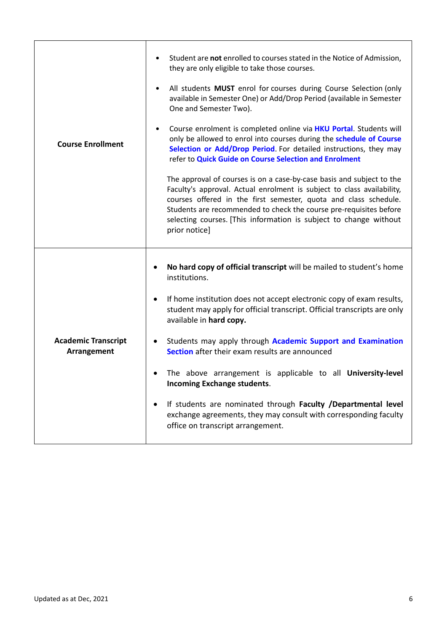| <b>Course Enrollment</b>                  | Student are not enrolled to courses stated in the Notice of Admission,<br>they are only eligible to take those courses.<br>All students MUST enrol for courses during Course Selection (only<br>$\bullet$<br>available in Semester One) or Add/Drop Period (available in Semester<br>One and Semester Two).<br>Course enrolment is completed online via <b>HKU Portal</b> . Students will<br>$\bullet$<br>only be allowed to enrol into courses during the schedule of Course<br>Selection or Add/Drop Period. For detailed instructions, they may<br>refer to Quick Guide on Course Selection and Enrolment<br>The approval of courses is on a case-by-case basis and subject to the<br>Faculty's approval. Actual enrolment is subject to class availability,<br>courses offered in the first semester, quota and class schedule.<br>Students are recommended to check the course pre-requisites before<br>selecting courses. [This information is subject to change without<br>prior notice] |
|-------------------------------------------|-------------------------------------------------------------------------------------------------------------------------------------------------------------------------------------------------------------------------------------------------------------------------------------------------------------------------------------------------------------------------------------------------------------------------------------------------------------------------------------------------------------------------------------------------------------------------------------------------------------------------------------------------------------------------------------------------------------------------------------------------------------------------------------------------------------------------------------------------------------------------------------------------------------------------------------------------------------------------------------------------|
| <b>Academic Transcript</b><br>Arrangement | No hard copy of official transcript will be mailed to student's home<br>institutions.<br>If home institution does not accept electronic copy of exam results,<br>$\bullet$<br>student may apply for official transcript. Official transcripts are only<br>available in hard copy.<br>Students may apply through Academic Support and Examination<br>$\bullet$<br>Section after their exam results are announced<br>The above arrangement is applicable to all University-level<br>$\bullet$<br><b>Incoming Exchange students.</b><br>If students are nominated through Faculty /Departmental level<br>exchange agreements, they may consult with corresponding faculty<br>office on transcript arrangement.                                                                                                                                                                                                                                                                                     |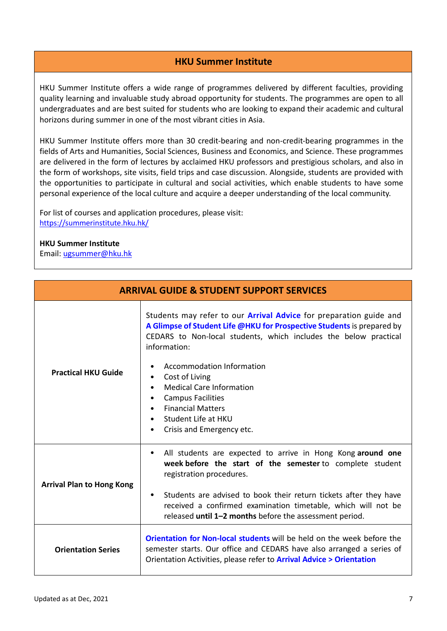## **HKU Summer Institute**

HKU Summer Institute offers a wide range of programmes delivered by different faculties, providing quality learning and invaluable study abroad opportunity for students. The programmes are open to all undergraduates and are best suited for students who are looking to expand their academic and cultural horizons during summer in one of the most vibrant cities in Asia.

HKU Summer Institute offers more than 30 credit-bearing and non-credit-bearing programmes in the fields of Arts and Humanities, Social Sciences, Business and Economics, and Science. These programmes are delivered in the form of lectures by acclaimed HKU professors and prestigious scholars, and also in the form of workshops, site visits, field trips and case discussion. Alongside, students are provided with the opportunities to participate in cultural and social activities, which enable students to have some personal experience of the local culture and acquire a deeper understanding of the local community.

For list of courses and application procedures, please visit: <https://summerinstitute.hku.hk/>

## **HKU Summer Institute**

Email: [ugsummer@hku.hk](mailto:ugsummer@hku.hk)

| <b>ARRIVAL GUIDE &amp; STUDENT SUPPORT SERVICES</b> |                                                                                                                                                                                                                                                                                                                                                                                                                                                                                                          |  |
|-----------------------------------------------------|----------------------------------------------------------------------------------------------------------------------------------------------------------------------------------------------------------------------------------------------------------------------------------------------------------------------------------------------------------------------------------------------------------------------------------------------------------------------------------------------------------|--|
| <b>Practical HKU Guide</b>                          | Students may refer to our <b>Arrival Advice</b> for preparation guide and<br>A Glimpse of Student Life @HKU for Prospective Students is prepared by<br>CEDARS to Non-local students, which includes the below practical<br>information:<br>Accommodation Information<br>٠<br>Cost of Living<br>٠<br><b>Medical Care Information</b><br>$\bullet$<br><b>Campus Facilities</b><br>٠<br><b>Financial Matters</b><br>$\bullet$<br>Student Life at HKU<br>$\bullet$<br>Crisis and Emergency etc.<br>$\bullet$ |  |
| <b>Arrival Plan to Hong Kong</b>                    | All students are expected to arrive in Hong Kong around one<br>٠<br>week before the start of the semester to complete student<br>registration procedures.<br>Students are advised to book their return tickets after they have<br>$\bullet$<br>received a confirmed examination timetable, which will not be<br>released until 1-2 months before the assessment period.                                                                                                                                  |  |
| <b>Orientation Series</b>                           | Orientation for Non-local students will be held on the week before the<br>semester starts. Our office and CEDARS have also arranged a series of<br>Orientation Activities, please refer to <b>Arrival Advice &gt; Orientation</b>                                                                                                                                                                                                                                                                        |  |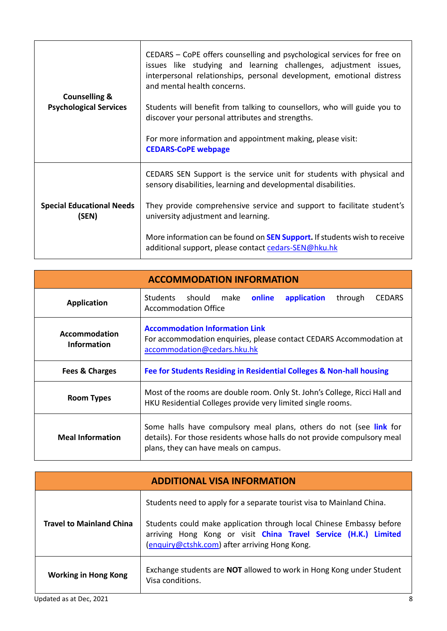| <b>Counselling &amp;</b><br><b>Psychological Services</b> | CEDARS – CoPE offers counselling and psychological services for free on<br>issues like studying and learning challenges, adjustment issues,<br>interpersonal relationships, personal development, emotional distress<br>and mental health concerns.<br>Students will benefit from talking to counsellors, who will guide you to<br>discover your personal attributes and strengths.<br>For more information and appointment making, please visit:<br><b>CEDARS-CoPE webpage</b> |
|-----------------------------------------------------------|---------------------------------------------------------------------------------------------------------------------------------------------------------------------------------------------------------------------------------------------------------------------------------------------------------------------------------------------------------------------------------------------------------------------------------------------------------------------------------|
| <b>Special Educational Needs</b><br>(SEN)                 | CEDARS SEN Support is the service unit for students with physical and<br>sensory disabilities, learning and developmental disabilities.                                                                                                                                                                                                                                                                                                                                         |
|                                                           | They provide comprehensive service and support to facilitate student's<br>university adjustment and learning.                                                                                                                                                                                                                                                                                                                                                                   |
|                                                           | More information can be found on <b>SEN Support.</b> If students wish to receive<br>additional support, please contact cedars-SEN@hku.hk                                                                                                                                                                                                                                                                                                                                        |

| <b>ACCOMMODATION INFORMATION</b>           |                                                                                                                                                                                         |  |
|--------------------------------------------|-----------------------------------------------------------------------------------------------------------------------------------------------------------------------------------------|--|
| <b>Application</b>                         | Students should make<br>online<br>application<br>through<br><b>CEDARS</b><br>Accommodation Office                                                                                       |  |
| <b>Accommodation</b><br><b>Information</b> | <b>Accommodation Information Link</b><br>For accommodation enquiries, please contact CEDARS Accommodation at<br>accommodation@cedars.hku.hk                                             |  |
| Fees & Charges                             | Fee for Students Residing in Residential Colleges & Non-hall housing                                                                                                                    |  |
| Room Types                                 | Most of the rooms are double room. Only St. John's College, Ricci Hall and<br>HKU Residential Colleges provide very limited single rooms.                                               |  |
| <b>Meal Information</b>                    | Some halls have compulsory meal plans, others do not (see link for<br>details). For those residents whose halls do not provide compulsory meal<br>plans, they can have meals on campus. |  |

| <b>ADDITIONAL VISA INFORMATION</b> |                                                                                                                                                                                          |  |
|------------------------------------|------------------------------------------------------------------------------------------------------------------------------------------------------------------------------------------|--|
| <b>Travel to Mainland China</b>    | Students need to apply for a separate tourist visa to Mainland China.                                                                                                                    |  |
|                                    | Students could make application through local Chinese Embassy before<br>arriving Hong Kong or visit China Travel Service (H.K.) Limited<br>(enquiry@ctshk.com) after arriving Hong Kong. |  |
| <b>Working in Hong Kong</b>        | Exchange students are <b>NOT</b> allowed to work in Hong Kong under Student<br>Visa conditions.                                                                                          |  |